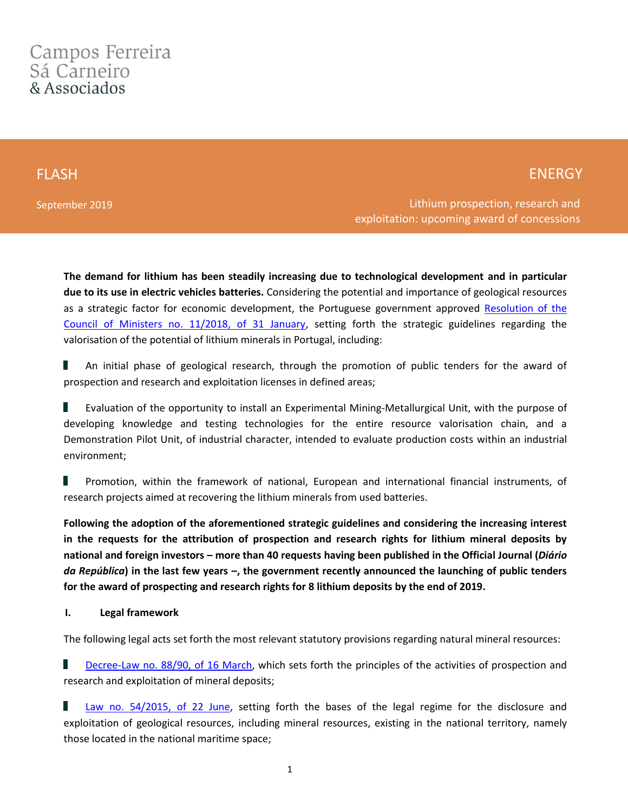# FLASH

# ENERGY

September 2019

 Lithium prospection, research and exploitation: upcoming award of concessions

**The demand for lithium has been steadily increasing due to technological development and in particular due to its use in electric vehicles batteries.** Considering the potential and importance of geological resources as a strategic factor for economic development, the Portuguese government approved [Resolution of the](https://dre.pt/application/conteudo/114610495)  [Council of Ministers no. 11/2018, of 31 January,](https://dre.pt/application/conteudo/114610495) setting forth the strategic guidelines regarding the valorisation of the potential of lithium minerals in Portugal, including:

An initial phase of geological research, through the promotion of public tenders for the award of prospection and research and exploitation licenses in defined areas;

Evaluation of the opportunity to install an Experimental Mining-Metallurgical Unit, with the purpose of developing knowledge and testing technologies for the entire resource valorisation chain, and a Demonstration Pilot Unit, of industrial character, intended to evaluate production costs within an industrial environment;

Promotion, within the framework of national, European and international financial instruments, of research projects aimed at recovering the lithium minerals from used batteries.

**Following the adoption of the aforementioned strategic guidelines and considering the increasing interest in the requests for the attribution of prospection and research rights for lithium mineral deposits by national and foreign investors – more than 40 requests having been published in the Official Journal (***Diário da República***) in the last few years –, the government recently announced the launching of public tenders for the award of prospecting and research rights for 8 lithium deposits by the end of 2019.**

#### **I. Legal framework**

The following legal acts set forth the most relevant statutory provisions regarding natural mineral resources:

[Decree-Law no. 88/90, of 16 March,](https://dre.pt/application/dir/pdf1sdip/1990/03/06300/12731286.pdf) which sets forth the principles of the activities of prospection and research and exploitation of mineral deposits;

[Law no. 54/2015,](https://dre.pt/application/file/67552586) of 22 June, setting forth the bases of the legal regime for the disclosure and exploitation of geological resources, including mineral resources, existing in the national territory, namely those located in the national maritime space;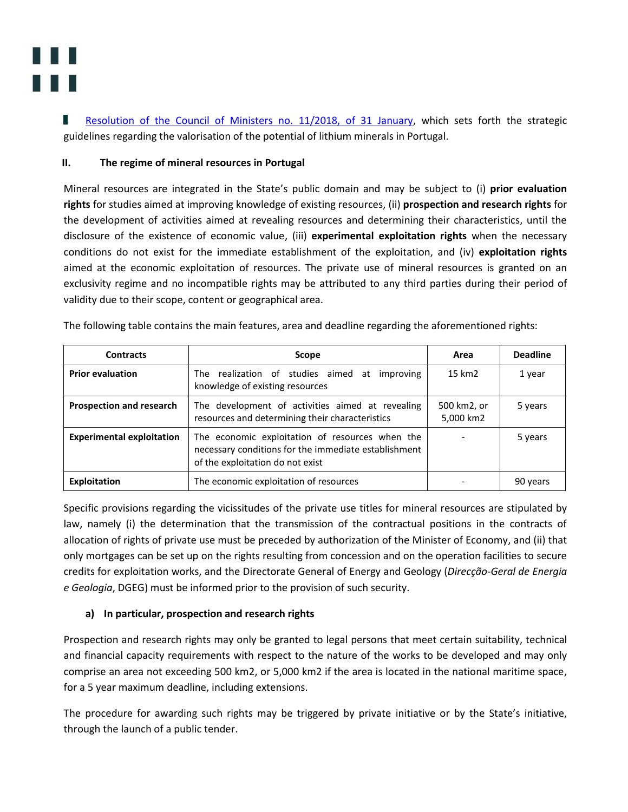

П [Resolution of the Council of Ministers no. 11/2018, of 31 January,](https://dre.pt/application/conteudo/114610495) which sets forth the strategic guidelines regarding the valorisation of the potential of lithium minerals in Portugal.

#### **II. The regime of mineral resources in Portugal**

Mineral resources are integrated in the State's public domain and may be subject to (i) **prior evaluation rights** for studies aimed at improving knowledge of existing resources, (ii) **prospection and research rights** for the development of activities aimed at revealing resources and determining their characteristics, until the disclosure of the existence of economic value, (iii) **experimental exploitation rights** when the necessary conditions do not exist for the immediate establishment of the exploitation, and (iv) **exploitation rights** aimed at the economic exploitation of resources. The private use of mineral resources is granted on an exclusivity regime and no incompatible rights may be attributed to any third parties during their period of validity due to their scope, content or geographical area.

| <b>Contracts</b>                 | <b>Scope</b>                                                                                                                                | Area                     | <b>Deadline</b> |
|----------------------------------|---------------------------------------------------------------------------------------------------------------------------------------------|--------------------------|-----------------|
| <b>Prior evaluation</b>          | The realization of studies aimed at improving<br>knowledge of existing resources                                                            | 15 km2                   | 1 year          |
| <b>Prospection and research</b>  | The development of activities aimed at revealing<br>resources and determining their characteristics                                         | 500 km2, or<br>5,000 km2 | 5 years         |
| <b>Experimental exploitation</b> | The economic exploitation of resources when the<br>necessary conditions for the immediate establishment<br>of the exploitation do not exist |                          | 5 years         |
| <b>Exploitation</b>              | The economic exploitation of resources                                                                                                      |                          | 90 years        |

The following table contains the main features, area and deadline regarding the aforementioned rights:

Specific provisions regarding the vicissitudes of the private use titles for mineral resources are stipulated by law, namely (i) the determination that the transmission of the contractual positions in the contracts of allocation of rights of private use must be preceded by authorization of the Minister of Economy, and (ii) that only mortgages can be set up on the rights resulting from concession and on the operation facilities to secure credits for exploitation works, and the Directorate General of Energy and Geology (*Direcção-Geral de Energia e Geologia*, DGEG) must be informed prior to the provision of such security.

# **a) In particular, prospection and research rights**

Prospection and research rights may only be granted to legal persons that meet certain suitability, technical and financial capacity requirements with respect to the nature of the works to be developed and may only comprise an area not exceeding 500 km2, or 5,000 km2 if the area is located in the national maritime space, for a 5 year maximum deadline, including extensions.

The procedure for awarding such rights may be triggered by private initiative or by the State's initiative, through the launch of a public tender.